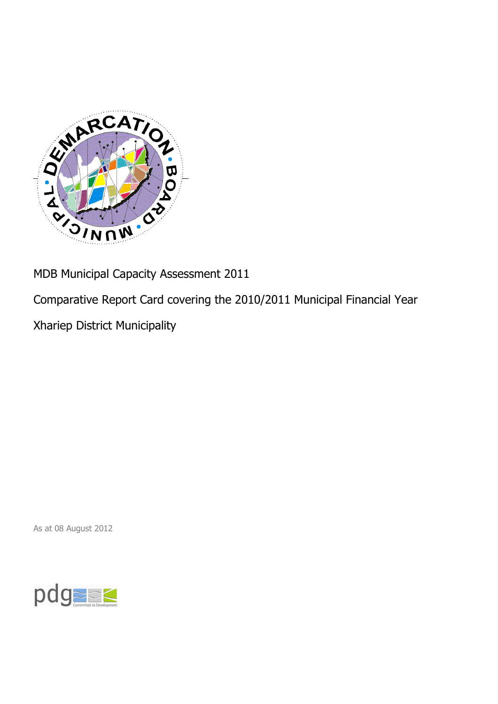

MDB Municipal Capacity Assessment 2011

Comparative Report Card covering the 2010/2011 Municipal Financial Year

Xhariep District Municipality

As at 08 August 2012

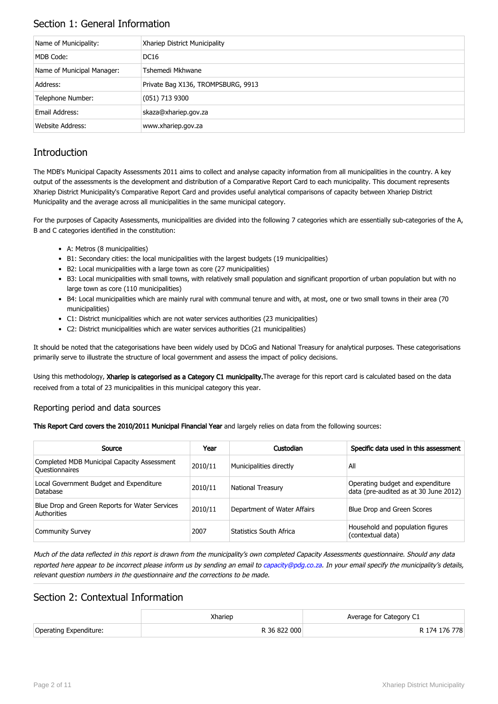## Section 1: General Information

| Name of Municipality:      | Xhariep District Municipality      |
|----------------------------|------------------------------------|
| MDB Code:                  | <b>DC16</b>                        |
| Name of Municipal Manager: | Tshemedi Mkhwane                   |
| Address:                   | Private Bag X136, TROMPSBURG, 9913 |
| Telephone Number:          | (051) 713 9300                     |
| Email Address:             | skaza@xhariep.gov.za               |
| <b>Website Address:</b>    | www.xhariep.gov.za                 |

# **Introduction**

The MDB's Municipal Capacity Assessments 2011 aims to collect and analyse capacity information from all municipalities in the country. A key output of the assessments is the development and distribution of a Comparative Report Card to each municipality. This document represents Xhariep District Municipality's Comparative Report Card and provides useful analytical comparisons of capacity between Xhariep District Municipality and the average across all municipalities in the same municipal category.

For the purposes of Capacity Assessments, municipalities are divided into the following 7 categories which are essentially sub-categories of the A, B and C categories identified in the constitution:

- A: Metros (8 municipalities)
- B1: Secondary cities: the local municipalities with the largest budgets (19 municipalities)
- B2: Local municipalities with a large town as core (27 municipalities)
- B3: Local municipalities with small towns, with relatively small population and significant proportion of urban population but with no large town as core (110 municipalities)
- B4: Local municipalities which are mainly rural with communal tenure and with, at most, one or two small towns in their area (70 municipalities)
- C1: District municipalities which are not water services authorities (23 municipalities)
- C2: District municipalities which are water services authorities (21 municipalities)

It should be noted that the categorisations have been widely used by DCoG and National Treasury for analytical purposes. These categorisations primarily serve to illustrate the structure of local government and assess the impact of policy decisions.

Using this methodology, Xhariep is categorised as a Category C1 municipality. The average for this report card is calculated based on the data received from a total of 23 municipalities in this municipal category this year.

#### Reporting period and data sources

This Report Card covers the 2010/2011 Municipal Financial Year and largely relies on data from the following sources:

| Source                                                               | Year    | Custodian                   | Specific data used in this assessment                                     |
|----------------------------------------------------------------------|---------|-----------------------------|---------------------------------------------------------------------------|
| Completed MDB Municipal Capacity Assessment<br><b>Ouestionnaires</b> | 2010/11 | Municipalities directly     | All                                                                       |
| Local Government Budget and Expenditure<br>Database                  | 2010/11 | <b>National Treasury</b>    | Operating budget and expenditure<br>data (pre-audited as at 30 June 2012) |
| Blue Drop and Green Reports for Water Services<br>Authorities        | 2010/11 | Department of Water Affairs | Blue Drop and Green Scores                                                |
| <b>Community Survey</b>                                              | 2007    | Statistics South Africa     | Household and population figures<br>(contextual data)                     |

Much of the data reflected in this report is drawn from the municipality's own completed Capacity Assessments questionnaire. Should any data reported here appear to be incorrect please inform us by sending an email to [capacity@pdg.co.za](mailto:capacity@pdg.co.za). In your email specify the municipality's details, relevant question numbers in the questionnaire and the corrections to be made.

## Section 2: Contextual Information

|                        | Xhariep      | Average for Category C1 |
|------------------------|--------------|-------------------------|
| Operating Expenditure: | R 36 822 000 | R 174 176 778           |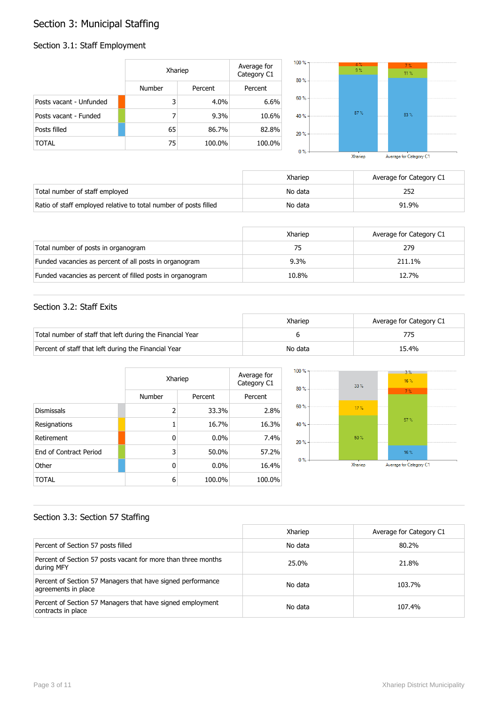# Section 3: Municipal Staffing

## Section 3.1: Staff Employment

|                         | Xhariep       |         | Average for<br>Category C1 | $100 \%$ -<br>$80% -$ | $4 \%$<br>9 <sup>°</sup> | 7%<br>11.%              |  |
|-------------------------|---------------|---------|----------------------------|-----------------------|--------------------------|-------------------------|--|
|                         | <b>Number</b> | Percent | Percent                    |                       |                          |                         |  |
| Posts vacant - Unfunded | 3             | 4.0%    | 6.6%                       | 60 % -                |                          |                         |  |
| Posts vacant - Funded   |               | 9.3%    | 10.6%                      | 40 % -                | $87 \%$                  | 83%                     |  |
| Posts filled            | 65            | 86.7%   | 82.8%                      | $20% -$               |                          |                         |  |
| <b>TOTAL</b>            | 75            | 100.0%  | 100.0%                     |                       |                          |                         |  |
|                         |               |         |                            | $0\%$                 | Xhariep                  | Average for Category C1 |  |

Average for Category C1

|                                                                  | Xhariep | Average for Category C1 |
|------------------------------------------------------------------|---------|-------------------------|
| Total number of staff employed                                   | No data |                         |
| Ratio of staff employed relative to total number of posts filled | No data | 91.9%                   |

|                                                           | Xhariep | Average for Category C1 |
|-----------------------------------------------------------|---------|-------------------------|
| Total number of posts in organogram                       |         | 279                     |
| Funded vacancies as percent of all posts in organogram    | $9.3\%$ | 211.1%                  |
| Funded vacancies as percent of filled posts in organogram | 10.8%   | 12.7%                   |

#### Section 3.2: Staff Exits

|                                                           | Xhariep | Average for Category C1 |
|-----------------------------------------------------------|---------|-------------------------|
| Total number of staff that left during the Financial Year |         |                         |
| Percent of staff that left during the Financial Year      | No data | 15.4%                   |

|                        |                | Xhariep |         |  |
|------------------------|----------------|---------|---------|--|
|                        | Number         | Percent | Percent |  |
| <b>Dismissals</b>      | $\overline{2}$ | 33.3%   | 2.8%    |  |
| Resignations           |                | 16.7%   | 16.3%   |  |
| Retirement             | 0              | $0.0\%$ | 7.4%    |  |
| End of Contract Period | 3              | 50.0%   | 57.2%   |  |
| Other                  | 0              | $0.0\%$ | 16.4%   |  |
| TOTAL                  | 6              | 100.0%  | 100.0%  |  |



## Section 3.3: Section 57 Staffing

|                                                                                    | Xhariep | Average for Category C1 |
|------------------------------------------------------------------------------------|---------|-------------------------|
| Percent of Section 57 posts filled                                                 | No data | 80.2%                   |
| Percent of Section 57 posts vacant for more than three months<br>during MFY        | 25.0%   | 21.8%                   |
| Percent of Section 57 Managers that have signed performance<br>agreements in place | No data | 103.7%                  |
| Percent of Section 57 Managers that have signed employment<br>contracts in place   | No data | 107.4%                  |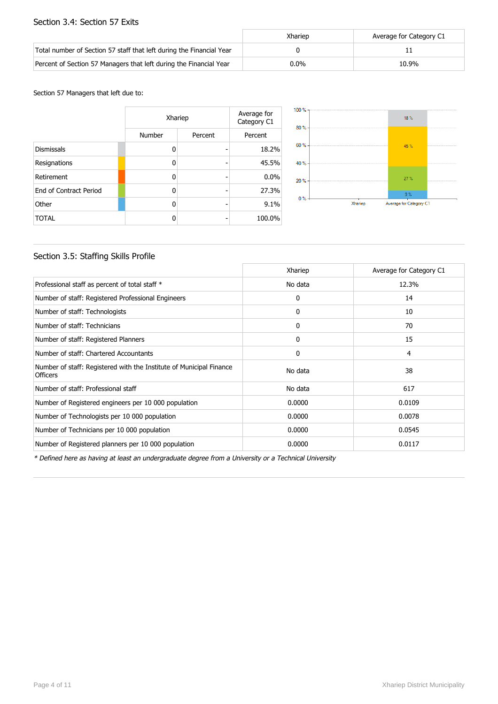#### Section 3.4: Section 57 Exits

|                                                                      | Xhariep | Average for Category C1 |
|----------------------------------------------------------------------|---------|-------------------------|
| Total number of Section 57 staff that left during the Financial Year |         |                         |
| Percent of Section 57 Managers that left during the Financial Year   | $0.0\%$ | 10.9%                   |

Section 57 Managers that left due to:

|                        | Xhariep | Average for<br>Category C1 |         |
|------------------------|---------|----------------------------|---------|
|                        | Number  | Percent                    | Percent |
| <b>Dismissals</b>      | O       |                            | 18.2%   |
| Resignations           | O       |                            | 45.5%   |
| Retirement             | 0       |                            | 0.0%    |
| End of Contract Period | O       |                            | 27.3%   |
| Other                  | O       |                            | 9.1%    |
| <b>TOTAL</b>           | ŋ       |                            | 100.0%  |



### Section 3.5: Staffing Skills Profile

|                                                                                        | Xhariep      | Average for Category C1 |
|----------------------------------------------------------------------------------------|--------------|-------------------------|
| Professional staff as percent of total staff *                                         | No data      | 12.3%                   |
| Number of staff: Registered Professional Engineers                                     | 0            | 14                      |
| Number of staff: Technologists                                                         | 0            | 10                      |
| Number of staff: Technicians                                                           | $\mathbf{0}$ | 70                      |
| Number of staff: Registered Planners                                                   | 0            | 15                      |
| Number of staff: Chartered Accountants                                                 | 0            | 4                       |
| Number of staff: Registered with the Institute of Municipal Finance<br><b>Officers</b> | No data      | 38                      |
| Number of staff: Professional staff                                                    | No data      | 617                     |
| Number of Registered engineers per 10 000 population                                   | 0.0000       | 0.0109                  |
| Number of Technologists per 10 000 population                                          | 0.0000       | 0.0078                  |
| Number of Technicians per 10 000 population                                            | 0.0000       | 0.0545                  |
| Number of Registered planners per 10 000 population                                    | 0.0000       | 0.0117                  |

\* Defined here as having at least an undergraduate degree from a University or a Technical University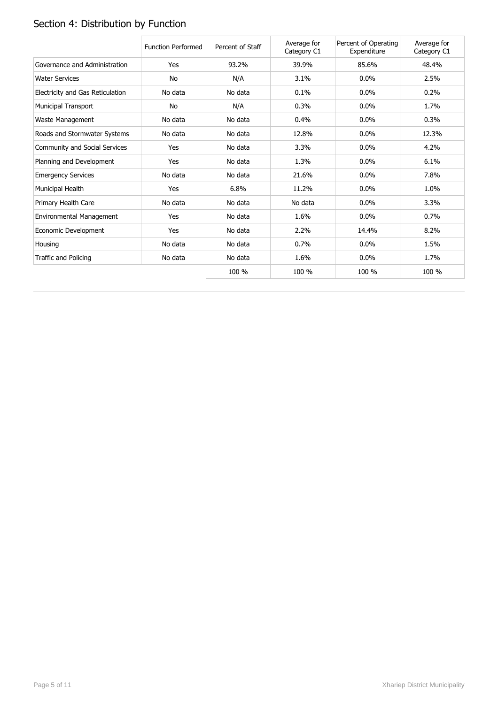# Section 4: Distribution by Function

|                                  | <b>Function Performed</b> | Percent of Staff | Average for<br>Category C1 | Percent of Operating<br>Expenditure | Average for<br>Category C1 |
|----------------------------------|---------------------------|------------------|----------------------------|-------------------------------------|----------------------------|
| Governance and Administration    | Yes                       | 93.2%            | 39.9%                      | 85.6%                               | 48.4%                      |
| <b>Water Services</b>            | No                        | N/A              | 3.1%                       | $0.0\%$                             | 2.5%                       |
| Electricity and Gas Reticulation | No data                   | No data          | 0.1%                       | $0.0\%$                             | 0.2%                       |
| <b>Municipal Transport</b>       | No                        | N/A              | 0.3%                       | $0.0\%$                             | 1.7%                       |
| Waste Management                 | No data                   | No data          | 0.4%                       | 0.0%                                | 0.3%                       |
| Roads and Stormwater Systems     | No data                   | No data          | 12.8%                      | $0.0\%$                             | 12.3%                      |
| Community and Social Services    | Yes                       | No data          | 3.3%                       | 0.0%                                | 4.2%                       |
| Planning and Development         | Yes                       | No data          | 1.3%                       | $0.0\%$                             | 6.1%                       |
| <b>Emergency Services</b>        | No data                   | No data          | 21.6%                      | $0.0\%$                             | 7.8%                       |
| Municipal Health                 | Yes                       | 6.8%             | 11.2%                      | 0.0%                                | 1.0%                       |
| Primary Health Care              | No data                   | No data          | No data                    | $0.0\%$                             | 3.3%                       |
| Environmental Management         | Yes                       | No data          | 1.6%                       | $0.0\%$                             | 0.7%                       |
| Economic Development             | Yes                       | No data          | 2.2%                       | 14.4%                               | 8.2%                       |
| Housing                          | No data                   | No data          | 0.7%                       | $0.0\%$                             | 1.5%                       |
| Traffic and Policing             | No data                   | No data          | 1.6%                       | $0.0\%$                             | 1.7%                       |
|                                  |                           | 100 %            | 100 %                      | 100 %                               | 100 %                      |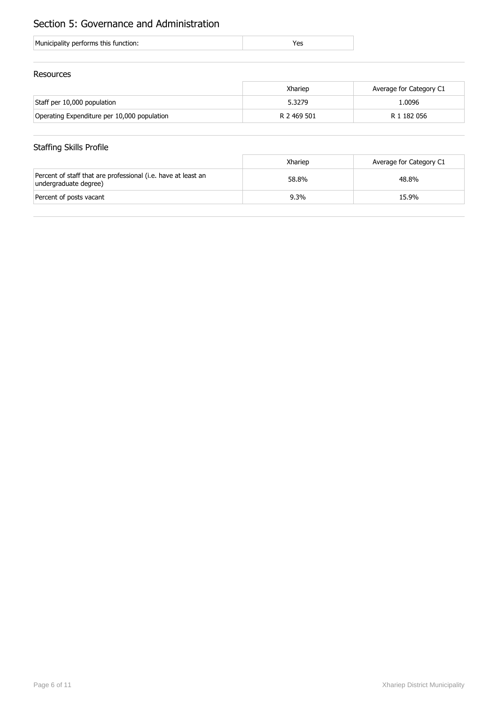# Section 5: Governance and Administration

| Municipality performs this function: |
|--------------------------------------|
|--------------------------------------|

#### Resources

|                                             | Xhariep     | Average for Category C1 |
|---------------------------------------------|-------------|-------------------------|
| Staff per 10,000 population                 | 5.3279      | 1.0096                  |
| Operating Expenditure per 10,000 population | R 2 469 501 | R 1 182 056             |

## Staffing Skills Profile

|                                                                                        | Xhariep | Average for Category C1 |
|----------------------------------------------------------------------------------------|---------|-------------------------|
| Percent of staff that are professional (i.e. have at least an<br>undergraduate degree) | 58.8%   | 48.8%                   |
| Percent of posts vacant                                                                | $9.3\%$ | 15.9%                   |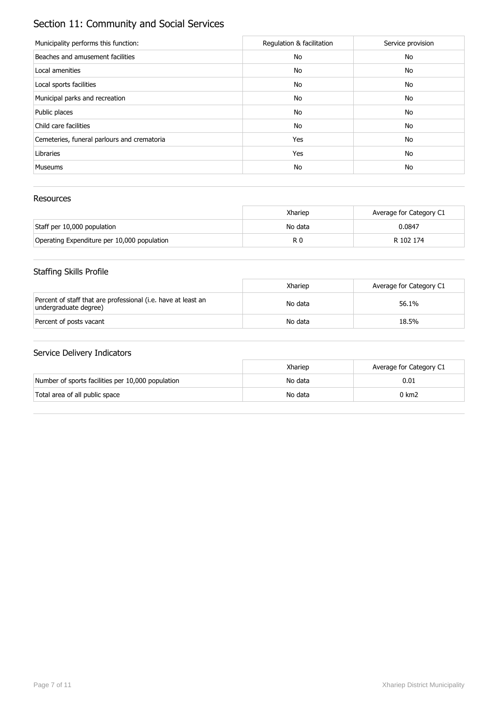# Section 11: Community and Social Services

| Municipality performs this function:        | Regulation & facilitation | Service provision |
|---------------------------------------------|---------------------------|-------------------|
| Beaches and amusement facilities            | No                        | No                |
| Local amenities                             | No                        | No                |
| Local sports facilities                     | No                        | No                |
| Municipal parks and recreation              | No                        | No                |
| Public places                               | No                        | No                |
| Child care facilities                       | No                        | No                |
| Cemeteries, funeral parlours and crematoria | Yes                       | No                |
| Libraries                                   | Yes                       | No                |
| <b>Museums</b>                              | No                        | No                |

### Resources

|                                             | Xhariep | Average for Category C1 |
|---------------------------------------------|---------|-------------------------|
| Staff per 10,000 population                 | No data | 0.0847                  |
| Operating Expenditure per 10,000 population | R 0     | R 102 174               |

# Staffing Skills Profile

|                                                                                        | Xhariep | Average for Category C1 |
|----------------------------------------------------------------------------------------|---------|-------------------------|
| Percent of staff that are professional (i.e. have at least an<br>undergraduate degree) | No data | 56.1%                   |
| Percent of posts vacant                                                                | No data | 18.5%                   |

|                                                   | Xhariep | Average for Category C1 |
|---------------------------------------------------|---------|-------------------------|
| Number of sports facilities per 10,000 population | No data | 0.01                    |
| Total area of all public space                    | No data | 0 km2                   |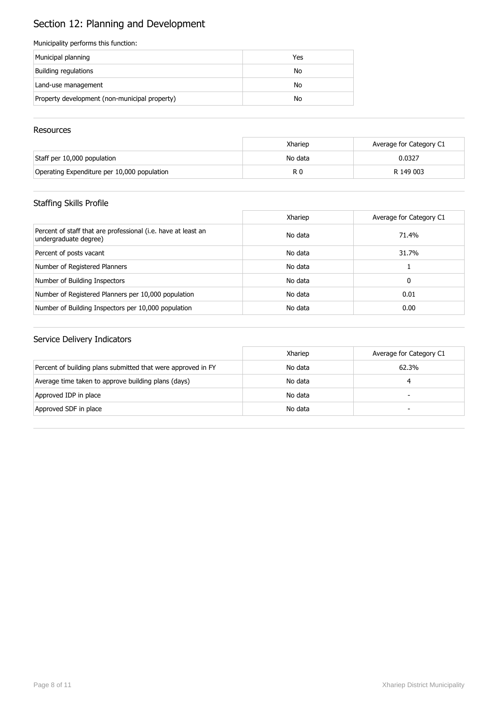# Section 12: Planning and Development

#### Municipality performs this function:

| Municipal planning                            | Yes |
|-----------------------------------------------|-----|
| Building regulations                          | No  |
| Land-use management                           | No  |
| Property development (non-municipal property) | No  |

#### **Resources**

|                                             | Xhariep | Average for Category C1 |
|---------------------------------------------|---------|-------------------------|
| Staff per 10,000 population                 | No data | 0.0327                  |
| Operating Expenditure per 10,000 population | R 0     | R 149 003               |

## Staffing Skills Profile

|                                                                                        | Xhariep | Average for Category C1 |
|----------------------------------------------------------------------------------------|---------|-------------------------|
| Percent of staff that are professional (i.e. have at least an<br>undergraduate degree) | No data | 71.4%                   |
| Percent of posts vacant                                                                | No data | 31.7%                   |
| Number of Registered Planners                                                          | No data |                         |
| Number of Building Inspectors                                                          | No data | 0                       |
| Number of Registered Planners per 10,000 population                                    | No data | 0.01                    |
| Number of Building Inspectors per 10,000 population                                    | No data | 0.00                    |

|                                                              | Xhariep | Average for Category C1 |
|--------------------------------------------------------------|---------|-------------------------|
| Percent of building plans submitted that were approved in FY | No data | 62.3%                   |
| Average time taken to approve building plans (days)          | No data |                         |
| Approved IDP in place                                        | No data | -                       |
| Approved SDF in place                                        | No data | -                       |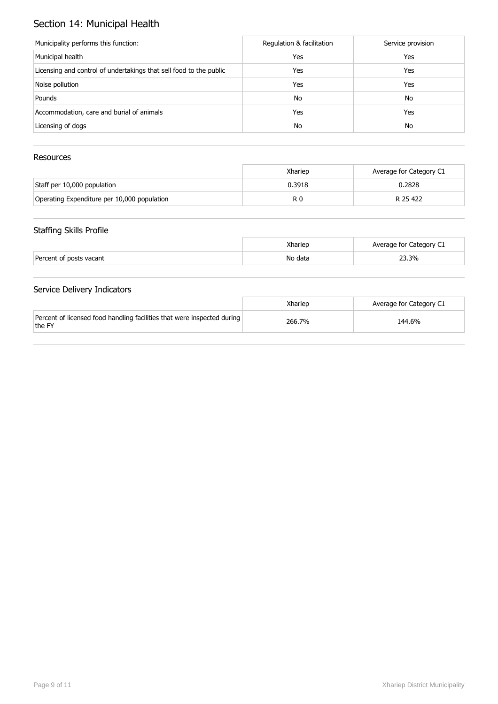# Section 14: Municipal Health

| Municipality performs this function:                               | Regulation & facilitation | Service provision |
|--------------------------------------------------------------------|---------------------------|-------------------|
| Municipal health                                                   | Yes                       | Yes               |
| Licensing and control of undertakings that sell food to the public | Yes                       | Yes               |
| Noise pollution                                                    | Yes                       | Yes               |
| Pounds                                                             | No                        | No                |
| Accommodation, care and burial of animals                          | Yes                       | Yes               |
| Licensing of dogs                                                  | No                        | No                |

## Resources

|                                             | Xhariep | Average for Category C1 |
|---------------------------------------------|---------|-------------------------|
| Staff per 10,000 population                 | 0.3918  | 0.2828                  |
| Operating Expenditure per 10,000 population | R 0     | R 25 422                |

## Staffing Skills Profile

|                         | Xhariep | Average for Category C1 |
|-------------------------|---------|-------------------------|
| Percent of posts vacant | No data | 23.3%                   |

|                                                                                   | Xharien | Average for Category C1 |
|-----------------------------------------------------------------------------------|---------|-------------------------|
| Percent of licensed food handling facilities that were inspected during<br>the FY | 266.7%  | 144.6%                  |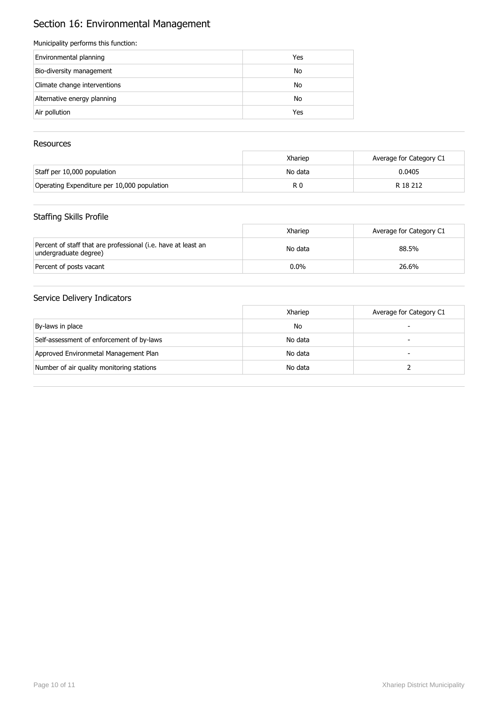# Section 16: Environmental Management

#### Municipality performs this function:

| Environmental planning       | Yes |
|------------------------------|-----|
| Bio-diversity management     | No  |
| Climate change interventions | No  |
| Alternative energy planning  | No  |
| Air pollution                | Yes |

### Resources

|                                             | Xhariep | Average for Category C1 |
|---------------------------------------------|---------|-------------------------|
| Staff per 10,000 population                 | No data | 0.0405                  |
| Operating Expenditure per 10,000 population | R C     | R 18 212                |

### Staffing Skills Profile

|                                                                                        | Xhariep | Average for Category C1 |
|----------------------------------------------------------------------------------------|---------|-------------------------|
| Percent of staff that are professional (i.e. have at least an<br>undergraduate degree) | No data | 88.5%                   |
| Percent of posts vacant                                                                | $0.0\%$ | 26.6%                   |

|                                           | Xhariep | Average for Category C1 |
|-------------------------------------------|---------|-------------------------|
| By-laws in place                          | No      |                         |
| Self-assessment of enforcement of by-laws | No data |                         |
| Approved Environmetal Management Plan     | No data |                         |
| Number of air quality monitoring stations | No data |                         |